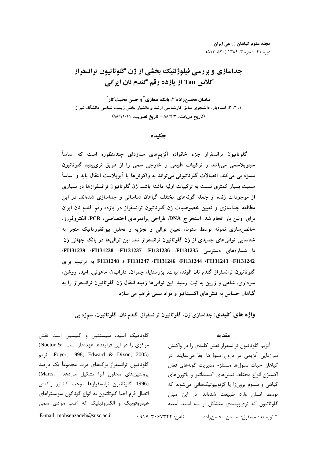# جداسازي و بررسي فيلوژنتيك بخشي از ژن گلوتاتيون ترانسفراز كلاس **Tau** از يازده رقم گندم نان ايراني

ساسان محسن زاده<sup>11</sup>، بابك صفاري<sup>٢</sup> و حسن محبت *ك*ار ۱، ۲، ۳، استادیار، دانشجوی سابق کارشناسی ارشد و دانشیار بخش زیست شناسی دانشگاه شیراز (تاريخ دريافت: ٨٨/٤/٣ - تاريخ تصويب: ٨٨/١١/١١)

چكيده

کلوتاتیون ترانسفراز جزء خانواده انزیمهای سمزدای چندمنطوره است که اساسا سیتوپلاسمی میباشد و ترکیبات طبیعی و خارجی سمی را از طریق تریپپتید کلوتاتیون سمزدایی می کند. اتصالات کلوتاتیونی می تواند به واکوئلها یا آپوپلاست انتقال یابد و اساسا سمیت بسیار کمتری نسبت به ترکیبات اولیه داشته باشد. ژن کلوتاتیون ترانسفرازها در بسیاری از موجودات زنده از جمله کونههای مختلف کیاهان شناسائی و جداسازی شدهاند. در این مطالعه جداسازی و تعیین خصوصیات ژن کلوتاتیون ترانسفراز در یازده رفم کندم نان ایران برای اولین بار انجام شد. استخراج DNA، طراحی پرایمرهای اختصاصی، PCR، الکتروفورز، خالص سازی نمونه توسط ستون، تعیین توالی و تجزیه و تحلیل بیوانفورماتیک منجر به شناسایی توالیهای جدیدی از ژن کلوتاتیون ترانسفراز شد. این توالیها در بانک جهانی ژن ،**FI131239** ،**FI131238** ،**FI131237** ،**FI131236** ،**FI131235** )( --%+ -, , O , **FI131248**<sup>و</sup> **FI131247** ،**FI131246** ،**FI131244** ،**FI131243** ،**FI131242** کلوتاتیون ترانسفراز کندم نان الوند، بیات، بزوستایا، چمران، داراب۱، ماهوتی، امید، روشن، سرداری، شاهی و زرین به تبت رسید. این توالی۱ها زمینه انتقال ژن کلوتاتیون ترانسفراز را به گیاهان حساس به تنش۱عای آگسیداتیو و مواد سمی فراهم می سازد.

**واژه های کلیدی:** جداسازی ژن، گلوتاتیون ترانسفراز، گندم نان، گلوتاتیون، سمزدایی.

#### مقدمه

.<br>آنزیم گلوتاتیون ترانسفراز نقش کلیدی را در واکنش سمزدایی آنزیمی در درون سلولها ایفا مینمایند. در گياهان حيات سلولها مستلزم مدرريت گونههاي فعال اكستن إنواع مختلف تنش@اي اكسيداتيو و باتوژن@اي .<br>ن گیاهی و سموم برون:ا با گزنوییوتیکهائی میشوند که .<br>ذ توسط انسان وارد طبیعت شدهاند. د. این میان گلوتاتیون که تری.پیتیدی متشکل از سه اسید آمینه

گلوتامیک اسید، سیستئین و گلیسین است نقش مرکزی را در این فرآیندها عهدهدار است (Noctor &  $\kappa$  Edward & Dixon, 2005) Foyer, 1998; Edward & Dixon, 2005) گلوتاتیون ترانسفراز برگهای ذرت محموعاً یک درصد یروتئینهای محلول آنرا تشکیل می دهد .(Marrs .<br>(1996. گلوتاتيون ترانسفرازها موجب كاتاليز واكنش اتصال فرم احبا گلوتاتیون به انواع گوناگون سویستراهای ; هيد، وفوييک و الکتاوفيليک که اغلب موادي سمي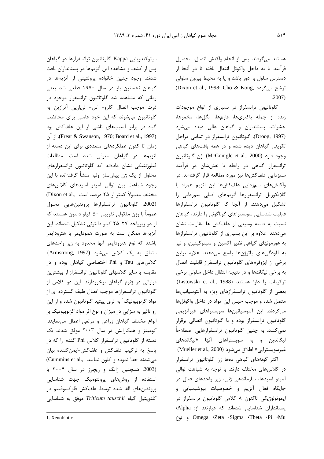هستند می گردند. پس از انجام واکنش اتصال، محصول فرآيند يا به داخل واكوئل انتقال يافته تا در آنجا از دسترس سلول به دور باشد و یا به محیط بیرون سلولی ترشح می گردد ,Dixon et al., 1998; Cho & Kong)  $.2007)$ 

گلوتاتیون ترانسفراز در بسیاری از انواع موجودات زنده از جمله باكترىها، قارچها، انگلها، مخمرها، حشرات، پستانداران و گیاهان عالی دیده میشود (Droog, 1997). گلوتاتیون ترانسفراز در تمامی مراحل تکوینی گیاهان دیده شده و در همه بافتهای گیاهی وجود دارد (McGonigle et al., 2000). ژن گلوتاتيون ترانسفراز گیاهی در رابطه با نقش شان در فرآیند سمزدایی علفکشها نیز مورد مطالعه قرار گرفتهاند. در واكنش هاى سمزدايى علف كش ها اين آنزيم همراه با گلایکوزیل ترانسفرازها آنزیمهای اصلی سمزدایی را تشکیل میدهند. از آنجا که گلوتاتیون ترانسفرازها قابلیت شناسایی سوبستراهای گوناگونی را دارند، گیاهان نسبت به دامنه وسیعی از علفکش ها مقاومت نشان می دهند. علاوه بر این بسیاری از گلوتاتیون ترانسفرازها به هورمونهای گیاهی نظیر اکسین و سیتوکینین، و نیز به آلودگیهای پاتوژنها پاسخ میدهند. علاوه براین برخی از ایزوفرمهای گلوتاتیون ترانسفراز قابلیت اتصال به برخی لیگاندها و در نتیجه انتقال داخل سلولی برخی تركيبات را دارا هستند (Listowski et al., 1988). بعضی از گلوتاتیون ترانسفرازهای ویژه به آنتوسیانینها متصل شده و موجب حبس این مواد در داخل واکوئلها میگردند. این آنتوسیانینها سوبستراهای غیرآنزیمی گلوتاتیون ترانسفراز بوده و با گلوتاتیون اتصالی برقرار نمیکنند. به چنین گلوتاتیون ترانسفرازهایی اصطلاحاً لیگاندین و به سوبستراهای آنها «لیگاندهای غير سوبسترايي» اطلاق مي شود (Mueller et al., 2000).

اکثر گونههای گیاهی دهها ژن گلوتاتیون ترانسفراز در کلاسهای مختلف دارند. با توجه به شباهت توالی آمینو اسیدها، سازماندهی ژنی، زیر واحدهای فعال در جايگاه فعال أنزيم و خصوصيات بيوشيميايي و ايمونولوژيكى تاكنون ٨ كلاس گلوتاتيون ترانسفراز در پستانداران شناسایی شدهاند که عبارتند از: Alpha، Omega Zeta Sigma Theta Pi Mu ونوع

میتوکندریایی Kappa. گلوتاتیون ترانسفرازها در گیاهان یس از کشف و مشاهده این آنزیمها در پستانداران یافت شدند. وجود چنین خانواده پروتئینی از آنزیمها در گیاهان نخستین بار در سال ۱۹۷۰ قطعی شد یعنی زمانی که مشاهده شد گلوتاتیون ترانسفراز موجود در ذرت موجب اتصال كلرو- اس- تريازين آترازين به گلوتاتیون می شوند که این خود عاملی برای محافظت گیاه در برابر آسیبهای ناشی از این علفکش بود : آن (Frear & Swanson, 1970; Board et al., 1997). از آن زمان تا کنون عملکردهای متعددی برای این دسته از آنزیمها در گیاهان معرفی شده است. مطالعات فیلوژنتیکی نشان دادهاند که گلوتاتیون ترانسفرازهای محلول از یک ژن پیشساز اولیه منشأ گرفتهاند، با این وجود شباهت بين توالى آمينو اسيدهاى كلاس هاى مختلف معمولاً كمتر از ۲۵ درصد است ..Dixon et al (2002. گلوتاتيون ترانسفرازها پروتئينهايي محلول عموماً با وزن ملكولي تقريبي ۵۰ كيلو دالتون هستند كه از دو زیرواحد ۲۷–۲۵ کیلو دالتونی تشکیل شدهاند. این آنزیمها ممکن است به صورت همودایمر یا هترودایمر باشند که نوع هترودايمر آنها محدود به زير واحدهاى متعلق به یک کلاس میشود (Armstrong, 1997). کلاس های Tau و Phi اختصاصی گیاهان بوده و در مقایسه با سایر کلاسهای گلوتاتیون ترانسفراز از بیشترین فراوانی در ژنوم گیاهان برخوردارند. این دو کلاس از گلوتاتیون ترانسفرازها موجب اتصال طیف گسترده ای از مواد گزنوبیوتیک' به تری پیتید گلوتاتیون شده و از این رو تاثیر به سزایی در میزان و نوع اثر مواد گزنوبیوتیک بر انواع مختلف گیاهان زراعی و مرتعی اعمال مینمایند. کومینز و همکارانش در سال ۲۰۰۳ موفق شدند یک دسته از گلوتاتیون ترانسفراز کلاس Phi گندم را که در ياسخ به تركيب علفكش و علفكش-ايمن كننده بيان می شدند جدا نموده و کلون نمایند ..Cummins et al (2003. همچنین ژانگ و ریچرز در سال ۲۰۰۴ با استفاده از روشهای پروتئومیک جهت شناسایی پروتئينهاي القا شده توسط علفكش فلوكسوفينم در كلئويتيل گياه Triticum tauschii موفق به شناسايي

1. Xenobiotic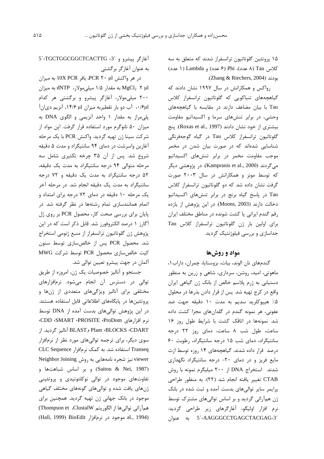۱۵ پروتئین گلوتاتیون ترانسفراز شدند که متعلق به سه كلاس Tau (٨ عدد)، Phi (۶ عدد) و Lambda (١ عدد) بودند (Zhang & Riechers, 2004).

رواکس و همکارانش در سال ۱۹۹۷ نشان دادند که گیاهچههای تنباکویی که گلوتاتیون ترانسفراز کلاس Tau با بیان مضاعف دارند در مقایسه با گیاهچههای وحشی، در برابر تنشهای سرما و اکسیداتیو مقاومت بیشتری از خود نشان دادند (Roxas et al., 1997). پنج گلوتاتیون ترانسفراز کلاس Tau در گیاه گوجهفرنگی شناسایی شدهاند که در صورت بیان شدن در مخمر موجب مقاومت مخمر در برابر تنشهای اکسیداتیو مي گردند (Kampranis et al., 2000). در پژوهشي ديگر که توسط مونز و همکارانش در سال ۲۰۰۳ صورت گرفت نشان داده شد که دو گلوتاتیون ترانسفراز کلاس Tau در پاسخ گیاه برنج در برابر تنش های اکسیداتیو دخالت دارند (Moons, 2003). در این پژوهش از یازده رقم گندم ایرانی یا کشت شونده در مناطق مختلف ایران برای اولین بار ژن گلوتاتیون ترانسفراز کلاس Tau جداسازی و بررسی فیلوژنتیک گردید.

### مواد و روشها

گندمهای نان الوند، بیات، بزوستایا، چمران، داراب۱، ماهوتی، امید، روشن، سرداری، شاهی و زرین به منظور دستیابی به ژرم پلاسم خالص از بانک ژن گیاهی ایران واقع در كرج تهيه شد. پس از قرار دادن بذرها در محلول ۰۵٪ هییوکلرید سدیم به مدت ۱۰ دقیقه جهت ضد عفونی، هر نمونه گندم در گلدانهای مجزا کشت داده شد. نمونهها در اتاقک کشت با شرایط طول روز ۱۶ ساعت، طول شب ٨ ساعت، دمای روز ٢٢ درجه سانتیگراد، دمای شب ۱۵ درجه سانتیگراد، رطوبت ۶۰ درصد قرار داده شدند. گیاهچههای ۱۴ روزه توسط ازت مایع فریز و در دمای ٢٠- درجه سانتیگراد نگهداری شدند. استخراج DNA از ۲۰۰ میلیگرم نمونه با روش CTAB تغییر یافته انجام شد (٢٢). به منظور طراحی پرایمر سایر توالیهای بدست آمده و ثبت شده در بانک ژن همآرائی گردید و بر اساس توالیهای مشترک توسط نرم افزار اوليگو، آغازگرهاي زير طراحي گرديد: 5´-AAGGGCCTGAGCTACGAG-3´ به عنوان

آغازگر پیشرو و 3´-TGCTGGCGGCTCACTTG 5 به عنوان آغازگر برگشتی

 $\sim 10X$  PCR بافر PCR ۲۰ بافر 10X PCR به میزان به مقدار ۱/۵ میلی مولار، INTP به میزان ANTP به میزان ۲۰۰ میلی مولار، آغازگر پیشرو و برگشتی هر کدام ۰/۶μl، آب دو بار تقطیربه میزان ۱۴/۶μl، آنزیم دیان آ يلي مراز به مقدار ١ واحد آنزيمي و الگوى DNA به میزان ۵۰ نانوگرم مورد استفاده قرار گرفت. این مواد از شركت سينا ژن تهيه گرديد. واكنش PCR با يک مرحله آغازین واسرشت در دمای ۹۴ سانتیگراد و مدت ۵ دقیقه شروع شد. پس از آن ۳۵ چرخه تکثیری شامل سه مرحله متوالی ۹۴ درجه سانتیگراد به مدت یک دقیقه، ۵۲ درجه سانتیگراد به مدت یک دقیقه و ۷۲ درجه سانتیگراد به مدت یک دقیقه انجام شد. در مرحله آخر یک مرحله ۱۰ دقیقه در دمای ۷۲ درجه برای امتداد و اتمام همانندسازی تمام رشتهها در نظر گرفته شد. در پایان برای بررسی صحت کار، محصول PCR بر روی ژل آگارز ۱ درصد الکتروفورز شد. قابل ذکر است که در این پژوهش ژن گلوتاتیون ترانسفراز از منبع ژنومی استخراج شد. محصول PCR پس از خالص سازی توسط ستون كيت خالص سازى محصول PCR توسط شركت MWG آلمان در جهت پیشرو تعیین توالی شد.

جستجو و آناليز خصوصيات يک ژن، امروزه از طريق توالی در دسترس آن انجام میشود. نرمافزارهای مختلفی برای آنالیز ویژگیهای متعددی از ژنها و یروتئینها در پایگاههای اطلاعاتی قابل استفاده هستند. در این پژوهش توالیهای بدست آمده از DNA توسط نرم افزا, های CDD ‹SMART ‹PROSITE ‹ProDom› Pfam ‹BLOCKS ‹CDART وBLAST أناليز گرديد. از سوی دیگر، برای ترجمه توالیهای مورد نظر از نرمافزار Transeq استفاده شد. به کمک نرمافزار CLC Sequence viewer نیز شجره نامههایی به روش Neighbor Joining (Saitou & Nei, 1987) وبر اساس شباهتها و تفاوتهای موجود در توالی نوکلئوتیدی و پروتئینی ژنهای یافت شده و توالیهای گونههای مختلف گیاهی موجود در بانک جهانی ژن تهیه گردید. همچنین برای همآرائي توالي ها از الكوريتم Thompson et .ClustalW) (1994 al., 1994) BioEdit موجود در نرمافزار Hall, 1999)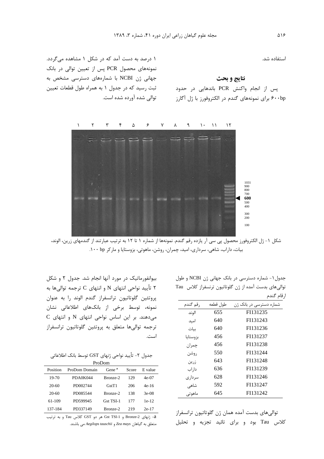استفاده شد.

#### نتايج و بحث

پس از انجام واكنش PCR باندهايي در حدود ۶۰۰bp برای نمونههای گندم در الکتروفورز با ژل آگارز

١ درصد به دست آمد که در شکل ١ مشاهده می گردد. نمونههای محصول PCR پس از تعیین توالی در بانک جهانی ژن NCBI با شمارههای دسترسی مشخص به ثبت رسید که در جدول ۱ به همراه طول قطعات تعیین توالی شده آورده شده است.



شکل ۱- ژل الکتروفورز محصول پی سی آر یازده رقم گندم. نمونهها از شماره ۱ تا ۱۲ به ترتیب عبارتند از گندمهای زرین، الوند، بیات، داراب، شاهی، سرداری، امید، چمران، روشن، ماهوتی، بزوستایا و مارکر ۱۰۰ bp.

جدول ١- شماره دسترسي در بانک جهاني ژن NCBI و طول توالی های بدست آمده از ژن گلوتاتیون ترنسفراز کلاس Tau ا, قام گندم

| , قم گندم | طول قطعه | شماره دسترسی در بانک ژن |
|-----------|----------|-------------------------|
| الوند     | 655      | FI131235                |
| امىد      | 640      | FI131243                |
| ىيات      | 640      | FI131236                |
| بزوستايا  | 456      | FI131237                |
| چمران     | 456      | FI131238                |
| روشن      | 550      | FI131244                |
| زرين      | 643      | FI131248                |
| دا, اب    | 636      | FI131239                |
| سر دار ی  | 628      | FI131246                |
| شاهى      | 592      | FI131247                |
| ماھوتے    | 645      | FI131242                |

توالی های بدست آمده همان ژن گلوتاتیون ترانسفراز کلاس Tau بود و برای تائید تجزیه و تحلیل

بیوانفورماتیک در مورد آنها انجام شد. جدول ۲ و شکل ۲ تأیید نواحی انتهای N و انتهای C ترجمه توالیها به يروتئين گلوتاتيون ترانسفراز گندم الوند را به عنوان نمونه، توسط برخی از بانکهای اطلاعاتی نشان C میدهند. بر این اساس نواحی انتهای N و انتهای ترجمه توالی ها متعلق به پروتئین گلوتاتیون ترانسفراز است.

|  |  |  | جدول ۲- تأييد نواحي ژنهاي GST توسط بانک اطلاعاتي |  |
|--|--|--|--------------------------------------------------|--|
|--|--|--|--------------------------------------------------|--|

|          |               | ProDom             |       |         |
|----------|---------------|--------------------|-------|---------|
| Position | ProDom Domain | Gene <sup>a</sup>  | Score | E value |
| 19-70    | PDA0K044      | Bronze-2           | 129   | $4e-07$ |
| $20-60$  | PD002744      | G <sub>st</sub> T1 | 206   | $4e-16$ |
| $20-60$  | PD085544      | Bronze-2           | 138   | $3e-08$ |
| 61-109   | PD599945      | Gst TSI-1          | 177   | $1e-12$ |
| 137-184  | PD337149      | Bronze-2           | 219   | $2e-17$ |

a- ژنهای Bronze-2 و Gst TSI-1 هر دو GST کلاس Tau و به ترتیب متعلق به گیاهان Zea mays و Aegilops tauschii می باشند.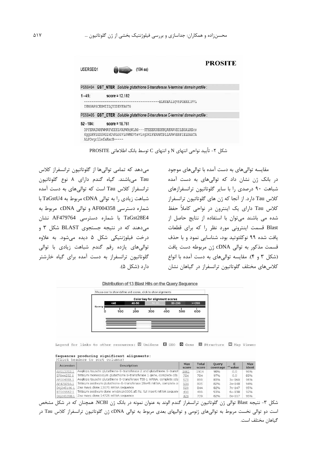| USERSE01     |                                                                                                                                                        | の項目は             | (184 aa) |  | <b>PROSITE</b> |
|--------------|--------------------------------------------------------------------------------------------------------------------------------------------------------|------------------|----------|--|----------------|
|              | PS50404 GST NTER Soluble glutathione S-transferase N-terminal domain profile :                                                                         |                  |          |  |                |
| $1 - 45$ :   | -------------------------------------ELKSEAllgvnPGHKKIPVL<br>IHNGAPGCESMIILQYIDEVFAGTG                                                                 | score = $12.182$ |          |  |                |
|              | PS50405 GST CTER Soluble glutathione S-transferase C-terminal domain profile :                                                                         |                  |          |  |                |
| $52 - 184$ : | DPYERAIARFWMAYVDDKLVAPWRQWLRG---KTEEEKSEGKKQAFAAVEILEGALRECS<br>KggGFFGGDGVGLVDVALGGVLSWMKVtevlsgDKIFEAAKTPLLAAWVERFIELDAATA<br>ALPDvgrllefaKarE ----- | $score = 18.761$ |          |  |                |

شكل ٢- تأييد نواحي انتهاى N و انتهاى C توسط بانك اطلاعاتي PROSITE

مے،دهد که تمامی توالی ها از گلوتاتیون ترانسفراز کلاس Tau میباشند. گیاه گندم دارای ۸ نوع گلوتاتیون ترانسفراز کلاس Tau است که توالی های به دست آمده شباهت زيادى ,ا به توالى cDNA مربوط به TaGstU4 با شماره دسترسی AF004358 و توالی cDNA مربوط به TaGst28E4 با شماره دسترسی AF479764 نشان می دهند که در نتیجه جستجوی BLAST شکل ۳ و درخت فيلوژنتيکي شکل ۵ ديده مي شود. به علاوه توالی های یازده رقم گندم شباهت زیادی با توالی گلوتاتیون ترانسفراز به دست آمده برای گیاه خارشتر دا, د (شکل ۵).

مقایسه توالی های به دست آمده با توالی های موجود در بانک ژن نشان داد که توالیهای به دست آمده شباهت ۹۰ درصدی را با سایر گلوتاتیون ترانسفرازهای کلاس Tau دارد. از آنجا که ژن های گلوتاتیون ترانسفراز کلاس Tau دارای یک اینترون در نواحی کاملاً حفظ شدہ مے<sub>،</sub> باشند مے،توان با استفادہ از نتایج حاصل از Blast قسمت اینترونی مورد نظر ۱٫ که برای قطعات یافت شده ۹۹ نوکلئوتید بود، شناسایی نمود و با حذف قسمت مذکور به توالی cDNA ژن مربوطه دست یافت (شکل ۳ و ۴). مقایسه توالی های به دست آمده با انواع كلاسهاى مختلف گلوتاتيون ترانسفراز در گياهان نشان

Distribution of 13 Blast Hits on the Query Sequence



Legend for links to other resources: U UniGene E GEO G Gene E Structure E Map Viewer

## Sequences producing significant alignments:<br>(Click headers to sort columns)

| Accession  | Description                                                            | <b>Max</b><br>score | <b>Total</b><br>score | Ouery<br>coverage | value    | Max<br>ident |
|------------|------------------------------------------------------------------------|---------------------|-----------------------|-------------------|----------|--------------|
| AY013753.1 | Aegilops tauschii glutathione-S-transferase 2 and glutathione S-transf | 1061                | 1914                  | 98%               | 0.0      | 96%          |
| EF044232.1 | Triticum monococcum glutathione S-transferase 1 gene, complete cds     | 784                 | 784                   | 97%               | 0.0.     | 88%          |
| AF004358.1 | Aegilops tauschii glutathione S-transferase TSI-1 mRNA, complete cds   | 573                 | 899                   | 83%               | $3e-160$ | 96%          |
| AF479764.1 | Triticum aestivum glutathione-S-transferase 28e45 mRNA, complete o     | 534                 | 805                   | 82%               | 2e-148   | 94%          |
| DQ245106.1 | Zea mays clone 13075 mRNA sequence                                     | 529                 | 844                   | 82%               | $7e-147$ | 95%          |
| BT009562.1 | Triticum aestivum clone wre1n.pk0006.a5:fis, full insert mRNA sequend  | 499                 | 499                   | 53%               | 6e-138   | 92%          |
| DO245358.  | Zea mays clone 14725 mRNA sequence                                     | 429                 | 739                   | 82%               | 8e-117   | 95%          |

شکل ۳- نتیجه Blast توالی ژن گلوتاتیون ترانسفراز گندم الوند به عنوان نمونه در بانک ژن NCBI همچنان که در شکل مشخص است دو توالی نخست مربوط به توالیهای ژنومی و توالیهای بعدی مربوط به توالی cDNA ژن گلوتاتیون ترانسفراز کلاس Tau در گیاهان مختلف است.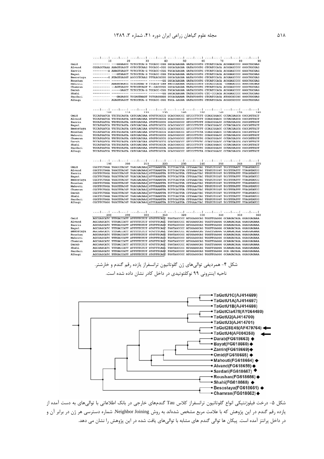|                    | received and contract welcome to check the location to check to contract to contract<br>10<br>20<br>30<br>40<br>50<br>60<br>70<br>80<br>90                                                                     |
|--------------------|----------------------------------------------------------------------------------------------------------------------------------------------------------------------------------------------------------------|
| Omid               | ------- ---GGGAGCC TCTCCTCA-G TCCACC-CGG GGCACAAGAA GATACCCGTG CTCATCCACA ACGGAGCCCC GGGCTGCGAG                                                                                                                |
| Alvand             | CGGAGCTAAA AAAGTGAGCT CCTCCTCAAG TCCACC-CGG GGCACAAGAA GATACCCGTG CTCATCCACA ACGGAGCCCC GGGCTGCGAG                                                                                                             |
| Zarrin<br>Bayat    | --------- A AAAGTGAGCT TCTCCTCA-G TCCACC-CGG TGCACAAGAA GATACCCGTG CTCATCCACA ACGGAGCCCC GGGCTGCGAG<br>---------- ---GTGAGCT TCTCCTCA-G TCCACC-CGG TGCACAAGAA GATACCCGTG CTCATCCACA ACGGAGCCCC GGGCTGCGAG      |
| Besostaya          | ---G ATAGTGAGGT AGCCCTCAAG TTTAACGCGG GGCACAAGAA AATACCCGTG CTCATCCACA ACGAAGCCCC GGGCTGCGAG                                                                                                                   |
| Roushan            | -- ---------- --------- --------GG GGCACAAGAA GATACCCGTG CTCATCCACA ACGGAGCCCC GGGCTGCGAG                                                                                                                      |
| Mahouti            | ---- AAAGTGAGCC TCTCGTAA-G TTCACG-CGG GGCCCAAGAA TATACCCGTG CTCACCCACA -CGGAGCCCC GGGCTGCGAG                                                                                                                   |
| Chamran<br>Darab   | ----- -- AGTGAGCC TCTCGTCAGT T--GACCCGG GGCACAAGAA TATACCCGTG CTCATCCACA ACGGAGCCCC GGGCTGCGAG<br>--GAGCT TCTCCTCA-G TCCACC-CGG TGCACAAGAA GATACCCGTG CTCATCCACA ACGGAGCCCC GGGCTGCGAG                         |
| Shahi              | -----<br>--------- ------GG GGCACAAGAA TATACCCGTG CTC-CCCACA ACGGAGCCCC GGGCTGCGAG                                                                                                                             |
| Sardari            | ---- --- GAGAGCC TCCAGTAAGT TCTGAGGGGG GCCACAAAAA TATATCGGTG CTCATCCACA ATGGCGCCGC GGGCTGCGAG                                                                                                                  |
| Alhagi             | -------- AGAGTGAGCT TCTCCTCA-G TCCACC-CGG TGCA-AAGAA GATACCCGTG CTCATCCACA ACGGCGCCCC GGGCTGCGAG                                                                                                               |
|                    | colord motivel weber leaders leaderst colord activity motival sediest                                                                                                                                          |
|                    | 100<br>110<br>120<br>130<br>140<br>150<br>160<br>170<br>180                                                                                                                                                    |
| Omid               | TCCATGATCA TTCTGCAGTA CATCGACGAA GTGTTCGCCG GCACCGGCCC GTCCCTTCTT CCAGCGGACC CCTACGAGCG CGCCATTGCT                                                                                                             |
| Alvand             | TCCATGATCA TTCTGCAGTA CATCGACGAA GTGTTCGCCG GCACCGGCCC GTCCCTTCTT CCAGCGGACC CCTACGAGCG CGCCATTGCT                                                                                                             |
| Zarrin<br>Bayat    | TCCATGATCA TTCTGCAGTA CATCGACGAA GTGTTCGCCG GCACCGGCCC GTCCCTTCTT CCAGCGGACC CCTACGAGCG CGCCATTGCT<br>TCCATGATCA TTCTGCAGTA CATCGACGAA GTGTTCGCCG GCACCGGCCC GTCCCTTCTT CCAGCGGACC CCTACGAGCG CGCCATTGCT       |
| Besostaya          | TCCATGATCA TTCTGCAGTA CATCGACGAA GTGTTCGCCG GCACCGGCCC GTCCCTTCTT CCAGCGGACC CCTACGAGCG CGCCATTGCT                                                                                                             |
| Roushan            | TCCATGATCA ATCTGCAGTA CATCGACGAA GTGTTCGCCG GCACCGGCCC GTCCCTTCTA CCAGCGGACC CCTACGAGCG CGCCATTGCT                                                                                                             |
| Mahouti            | TCCATGATCA TTCTGCAGTA CATCGACGAA GTGTTCGCCG GCACCGGCCC GTCCCTTCTC CCAGCGGACC CCTACGAGCG CGCCATTGCT                                                                                                             |
| Chamran            | TECATGATEA TTETGEAGTA CATEGACGAA GTGTTEGEEG GEACEGGEEE GTEECTTETG EEAGEGGAEE ECTAEGAGEG EGEEATTGET<br>TCCATGATCA TTCTGCAGTA CATCGACGAA GTGTTCGCCG GCACCGGCCC GTCCCTTCTC CCAGCGGACC CCTACGAGCG CGCCATTGCT       |
| Darab<br>Shahi     | TCCATGATCA TTCTGCAGTA CATCGACGAA GTGTTCGCCA GCACCGGCCC GTCCCTTCTT CCAGCGGACC CCTACGAGCG CGCCATTGCT                                                                                                             |
| Sardari            | TCCATGATCA TTCTGCAGTA CATCGACGAA GTGTTCGCCA GCACCGGCCC GTCCCTTCTC CCAGCGGACC CCTACGAGCG CGCCATTGCT                                                                                                             |
| Alhagi             | TCCATGATCA TTCTGCAGTA CATCGACGAA GTGTTCGCCA GCACCGGCCC GTCCCTTCTA CCAGCGGACC CCTACGAGCG CGCCATTGCT                                                                                                             |
|                    |                                                                                                                                                                                                                |
|                    | المتطيب المواميد المتطيبية المتطيعة المتطيبية المتطوعة المتطيعة المتطاعية المتطيبية<br>210<br>220<br>230<br>240<br>250<br>260<br>270<br>190<br>200                                                             |
| Omid               | CGCTTCTGGA TGGCCTACGT TGACGACAAG GTTTAAATTA TCTTCACTTA CTTGAACTAC TTGTCTCCGT TCCTTTAATT TTAGATATCC                                                                                                             |
| Alvand             | CGCTTCTGGA TGGCTTACGT TGACGACAAG GTTTAAATTA TCTTCACTTA CTTGAACTAC TTGTCTCCGT TCCTTTATTT TTAGATATCC                                                                                                             |
| Zarrin             | CGCTTCTGGA TGGCCTACGT TGACGACAAG GTTTAAATTA TCTTCACTTA CTTGAACTAC TTGTCTCCGT TCCTTTATTT TTAGATATCC                                                                                                             |
| Bayat<br>Besostaya | CGCTTCTGGA TGGCTTACGT TGACGACAAG GTTTAAATTA TCTTCACTTA CTTGAACTAC TTGTCTCCGT TCCTTTATTT TTAGATATCC<br>CGCTTCTGGA TGGCTTACGT TGACGACAAG GTTTAAATTA TCTTCACTTA CTTGAACTAC TTGTCTCCGT TCCTTTATTT TTAGATATCC       |
| Roushan            | CGCTTCTGGA TGGCTTACGT TGACGACAAG GTTTAAATTA TCTTCACTTA CTTGAACTAC TTGTCTCCGT TCCTTTATTT TTAGATATCC                                                                                                             |
| Mahouti            | CGCTTCTGGA TGGCTTACGT TGACGACAAG GTTTAAATTA TCTTCACTTA CTTGAACTAC TTGTCTCCGT TCCTTTATTT TTAGATATCC                                                                                                             |
| Chamran            | CGCTTCTGGA TGGCTTACGT TGACGACAAG GTTTAAATTA TCTTCACTTA CTTGAACTAC TTGTCTCCGT TCCTTTATTT TTAGATATCC                                                                                                             |
| Darab              | CGCTTCTGGA TGGCTTACGT TGACGACAAG<br>GTTTAAATTA TCTTCACTTA CTTGAACTAC TTGTCTCCGT TCCTTTATTT TTAGATATCC                                                                                                          |
| Shahi<br>Sardari   | CGCTTCTGGA TGGCTTACGT TGACGACAAG<br>GTTTAAATTA TCTTCACTTA CTTGAACTAC TTGTCTCCGT TCCTTTATTT TTAGATATCC<br>CGCTTCTGGA TGGCTTACGT TGACGACAAG<br>GTTTAAATTA TCTTCACTTA CTTGAACTAC TTGTCTCCGT TCCTTTATTT TTAGATATCC |
| Alhagi             | CGCTTCTGGG TGGCTTACGT TGACGACAAG GTTTAAATTA TCTTCAATTA CTTGAACTAC TTGTCTCCGT TCCTTTATTT TTAGATATCC                                                                                                             |
|                    |                                                                                                                                                                                                                |
|                    | coduct colord galaxi colord colord celect colord colord colord colord                                                                                                                                          |
|                    | 300<br>320<br>360<br>280<br>290<br>310<br>330<br>340<br>350                                                                                                                                                    |
| Omid               | AGCGAGCATC TTTGACCATT ATTTTTCTCT GTGTTTCAGC TGGTAGCCCC ATGGAGGCAG TGGTTGAGGG GCAAGACAGA GGAGGAGAAA                                                                                                             |
| Alvand<br>Zarrin   | AGCGAGCATC TTTGACCATT ATTTTTCTCT GTGTTTCAGC TGGTAGCCCC ATGGAGGCAG TGGTTGAGGG GCAAGACAGA GGAGGAGAAA<br>AGCGAGCATC TTTGACCATT ATTTTTCTCT GTGTTTCAGC TGGTAGCCCC ATGGAGGCAG TGGTTGAGGG GCAAGACAGA GGAGGAGAAA       |
| Bayat              | AGCGAGCATC TTTGACCATT ATTTTTCTCT GTGTTTCAGC TGGTAGCCCC ATGGAGGCAG TGGTTGAGGG GCAAGACAGA GGAGGAGAAA                                                                                                             |
| Besostaya          | AGCGAGCATC TTTGACCATT ATTTTTCTCT GTGTTTCAGC TGGTAGCCCC ATGGAGGCAG TGGTTGAGGG GCAAGACAGA GGAGGAGAAA                                                                                                             |
| Roushan            | AGCGAGCATC TTTGACCATT ATTTTTCTCT GTGTTTCAGC TGGTAGCCCC ATGGAGGCAG TGGTTGAGGG GCAAGACAGA GGAGGAGAAA                                                                                                             |
| Mahouti<br>Chamran | AGCGAGCATC TTTGACCATT ATTTTTCTCT GTGTTTCAGC TGGTAGCCCC ATGGAGGCAG TGGTTGAGGG GCAAGACAGA GGAGGAGAAA<br>AGCGAGCATC TTTGACCATT ATTTTTCTCT GTGTTTCAGC TGGTAGCCCC ATGGAGGCAG TGGTTGAGGG GCAAGACAGA GGAGGAGAAA       |
| Darab              | AGCGAGCATC TTTGACCATT ATTTTTCTCT GTGTTTCAGC TGGTAGCCCC ATGGAGGCAG TGGTTGAGGG GCAAGACAGA GGAGGAGAAA                                                                                                             |
| Shahi              | AGCGAGCATC TTTGACCATT ATTTTTCTCT GTGTTTCAGC TGGTAGCCCC ATGGAGGCAG TGGTTGAGGG GCAAGACAGA GGAGGAGAAA                                                                                                             |
| Sardari            | AGCGAGCATC TTTGACCATT ATTTTTCTCT GTGTTTCAGC TGGTAGCCCC ATGGAGGCAG TGGTTGAGGG GCA-GACAGA GGAGGAGAAA                                                                                                             |
| Alhagi             | AGCGAGCATC TTTGACCATT ATTTTTCTCT GTGTTTCAGC TGGTAGCCCC ATGGAGGCAG TGGTTGAGGG GCAAGACAGA GGAGGAGAAA                                                                                                             |
|                    |                                                                                                                                                                                                                |
|                    | شکل ۴- همردیفی توالیهای ژن گلوتاتیون ترانسفراز یازده رقم گندم و خارشتر.                                                                                                                                        |
|                    | ناحیه اینترونی ۹۹ نوکلئوتیدی در داخل کادر نشان داده شده است.                                                                                                                                                   |
|                    |                                                                                                                                                                                                                |
|                    |                                                                                                                                                                                                                |
|                    | → TaGstU1C(AJ414699)                                                                                                                                                                                           |
|                    | TaGstU1A(AJ414697)                                                                                                                                                                                             |
|                    |                                                                                                                                                                                                                |
|                    | • TaGstU1B(AJ414698)                                                                                                                                                                                           |



شکل ۵- درخت فیلوژنتیکی انواع گلوتاتیون ترانسفراز کلاس Tau گندمهای خارجی در بانک اطلاعاتی با توالیهای به دست آمده از یازده رقم گندم در این پژوهش که با علامت مربع مشخص شدهاند به روش Neighbor Joining. شماره دسترسی هر ژن در برابر آن و در داخل پرانتز آمده است. پیکان ها توالی گندم های مشابه با توالیهای یافت شده در این پژوهش را نشان می دهد.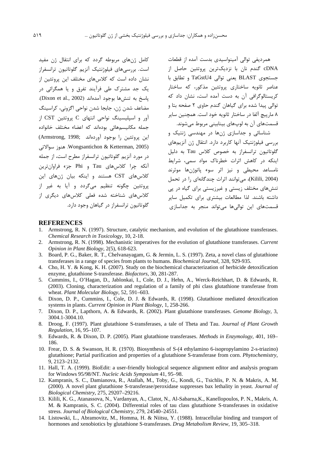کامل ژنهای مربوطه گردد که برای انتقال ژن مفید است. بررسیهای فیلوژنتیک آنزیم گلوتاتیون ترانسفراز .<br>نشان داده است که کلاسهای مختلف این پروتئین از یک جد مشترک طی فرآیند تفرق و یا همگرائی در ياسخ به تنش ها بوجود آمدهاند (Dixon et al., 2002). مضاعف شدن ژن، جابجا شدن نواحی اگزونی، کراسینگ آور و اسیلیسینگ نواحی انتهای C پروتئین CST از جمله مكانيسمهائى بودهاند كه اعضاء مختلف خانواده اين پروتئين را بوجود آوردهاند (Armstrong, 1998; Wongsantichon & Ketterman, 2005). هنوز سوالاتی در مورد آنزیم گلوتاتیون ترانسفراز مطرح است، از جمله آنکه چرا کلاسهای Tau و Phi جزء فراوانترین کلاس های CST هستند و اینکه بیان ژنهای این یروتئین چگونه تنظیم میگردد و آیا به غیر از .<br>کلاس های شناخته شده فعلی کلاس های دیگری از گلوتاتیون ترانسفراز در گیاهان وجود دارد.

همردیفی توالی آمینواسیدی بدست آمده از قطعات cDNA گندم نان با نزدیکترین پروتئین حاصل از جستجوى BLAST يعنى توالى TaGstU4 و تطابق با عناصر ثانویه ساختاری پروتئین مذکور، که ساختار کریستالوگرافی آن به دست آمده است، نشان داد که توالی پیدا شده برای گیاهان گندم حاوی ۲ صفحه بتا و ۸ ما, ييچ آلفا در ساختار ثانويه خود است. همچنين ساير قسمتھای آن به لوڀھای بینابینی مربوط مے شوند.

شناسائی و جداسازی ژنها در مهندسی ژنتیک و بررسی فیلوژنتیک آنها کاربرد دارد. انتقال ژن آنزیمهای گلوتاتيون ترانسفراز به خصوص كلاس Tau به دليل اینکه در کاهش اثرات خطرناک مواد سمی، شرایط .<br>نامساعد محيطي و نيز اثر سوء ياتوژنها موثرند (Kilili, 2004)، مے توانند اثرات چندگانهای را در تحمل تنشهای مختلف زیستی و غیرزیستی برای گیاه در پی داشته باشند. لذا مطالعات بیشتری برای تکمیل سایر قسمتهای این توالیها میتواند منجر به جداسازی

#### **REFERENCES**

- Armstrong, R. N. (1997). Structure, catalytic mechanism, and evolution of the glutathione transferases.  $\mathbf{1}$ . Chemical Research in Toxicology, 10, 2-18.
- 2. Armstrong, R. N. (1998). Mechanistic imperatives for the evolution of glutathione transferases. Current Opinion in Plant Biology, 2(5), 618-623.
- 3. Board, P. G., Baker, R. T., Chelvanayagam, G. & Jermin, L. S. (1997). Zeta, a novel class of glutathione transferases in a range of species from plants to humans. Biochemical Journal, 328, 929-935.
- 4. Cho, H. Y. & Kong, K. H. (2007). Study on the biochemical characterization of herbicide detoxification enzyme, glutathione S-transferase. *Biofactors*, 30, 281-287.
- 5. Cummins, I., O'Hagan, D., Jablonkai, I., Cole, D. J., Hehn, A., Werck-Reichhart, D. & Edwards, R. (2003). Cloning, characterization and regulation of a family of phi class glutathione transferase from wheat. Plant Molecular Biology, 52, 591-603.
- 6. Dixon, D. P., Cummins, I., Cole, D. J. & Edwards, R. (1998). Glutathione mediated detoxification systems in plants. Current Opinion in Plant Biology, 1, 258-266.
- 7. Dixon, D. P., Lapthorn, A. & Edwards, R. (2002). Plant glutathione transferases. Genome Biology, 3, 3004.1-3004.10.
- Droog, F. (1997). Plant glutathione S-transferases, a tale of Theta and Tau. Journal of Plant Growth 8. Regulation, 16, 95-107.
- Edwards, R. & Dixon, D. P. (2005). Plant glutathione transferases. Methods in Enzymology, 401, 169– 9. 186.
- 10. Frear, D. S. & Swanson, H. R. (1970). Biosynthesis of S-(4 ethylamino 6-isopropylamino 2-s-triazino) glutathione; Partial purification and properties of a glutathione S-transferase from corn. *Phytochemistry*, 9.2123-2132.
- 11. Hall, T. A. (1999). BioEdit: a user-friendly biological sequence alignment editor and analysis program for Windows 95/98/NT. Nucleic Acids Symposium 41, 95-98.
- 12. Kampranis, S. C., Damianova, R., Atallah, M., Toby, G., Kondi, G., Tsichlis, P. N. & Makris, A. M. (2000). A novel plant glutathione S-transferase/peroxidase suppresses bax lethality in yeast. Journal of Biological Chemistry, 275, 29207-29216.
- 13. Kilili, K. G., Atanassova, N., Vardanyan, A., Clatot, N., Al-Sabarna, K., Kanellopoulos, P. N., Makris, A. M. & Kampranis, S. C. (2004). Differential roles of tau class glutathione S-transferases in oxidative stress. Journal of Biological Chemistry, 279, 24540-24551.
- 14. Listowski, L., Abramovitz, M., Homma, H. & Niitsu, Y. (1988). Intracellular binding and transport of hormones and xenobiotics by glutathione S-transferases. Drug Metabolism Review, 19, 305-318.